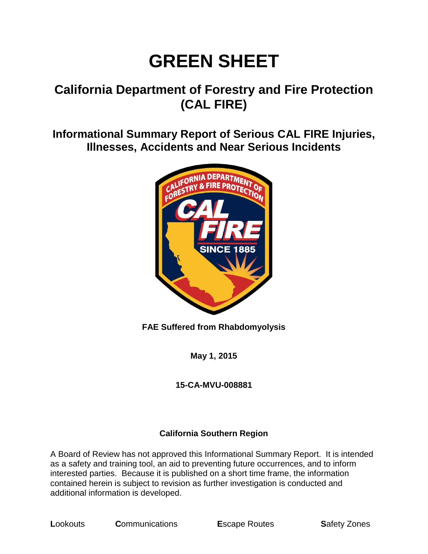# **GREEN SHEET**

# **California Department of Forestry and Fire Protection (CAL FIRE)**

**Informational Summary Report of Serious CAL FIRE Injuries, Illnesses, Accidents and Near Serious Incidents**



**FAE Suffered from Rhabdomyolysis**

**May 1, 2015**

# **15-CA-MVU-008881**

# **California Southern Region**

A Board of Review has not approved this Informational Summary Report. It is intended as a safety and training tool, an aid to preventing future occurrences, and to inform interested parties. Because it is published on a short time frame, the information contained herein is subject to revision as further investigation is conducted and additional information is developed.

**L**ookouts **C**ommunications **E**scape Routes **S**afety Zones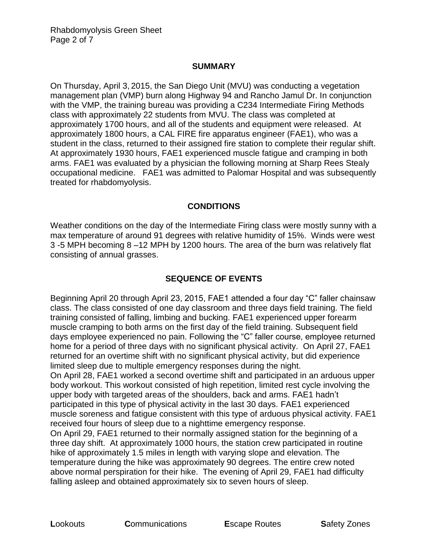#### **SUMMARY**

On Thursday, April 3, 2015, the San Diego Unit (MVU) was conducting a vegetation management plan (VMP) burn along Highway 94 and Rancho Jamul Dr. In conjunction with the VMP, the training bureau was providing a C234 Intermediate Firing Methods class with approximately 22 students from MVU. The class was completed at approximately 1700 hours, and all of the students and equipment were released. At approximately 1800 hours, a CAL FIRE fire apparatus engineer (FAE1), who was a student in the class, returned to their assigned fire station to complete their regular shift. At approximately 1930 hours, FAE1 experienced muscle fatigue and cramping in both arms. FAE1 was evaluated by a physician the following morning at Sharp Rees Stealy occupational medicine. FAE1 was admitted to Palomar Hospital and was subsequently treated for rhabdomyolysis.

#### **CONDITIONS**

Weather conditions on the day of the Intermediate Firing class were mostly sunny with a max temperature of around 91 degrees with relative humidity of 15%. Winds were west 3 -5 MPH becoming 8 –12 MPH by 1200 hours. The area of the burn was relatively flat consisting of annual grasses.

# **SEQUENCE OF EVENTS**

Beginning April 20 through April 23, 2015, FAE1 attended a four day "C" faller chainsaw class. The class consisted of one day classroom and three days field training. The field training consisted of falling, limbing and bucking. FAE1 experienced upper forearm muscle cramping to both arms on the first day of the field training. Subsequent field days employee experienced no pain. Following the "C" faller course, employee returned home for a period of three days with no significant physical activity. On April 27, FAE1 returned for an overtime shift with no significant physical activity, but did experience limited sleep due to multiple emergency responses during the night.

On April 28, FAE1 worked a second overtime shift and participated in an arduous upper body workout. This workout consisted of high repetition, limited rest cycle involving the upper body with targeted areas of the shoulders, back and arms. FAE1 hadn't participated in this type of physical activity in the last 30 days. FAE1 experienced muscle soreness and fatigue consistent with this type of arduous physical activity. FAE1 received four hours of sleep due to a nighttime emergency response.

On April 29, FAE1 returned to their normally assigned station for the beginning of a three day shift. At approximately 1000 hours, the station crew participated in routine hike of approximately 1.5 miles in length with varying slope and elevation. The temperature during the hike was approximately 90 degrees. The entire crew noted above normal perspiration for their hike. The evening of April 29, FAE1 had difficulty falling asleep and obtained approximately six to seven hours of sleep.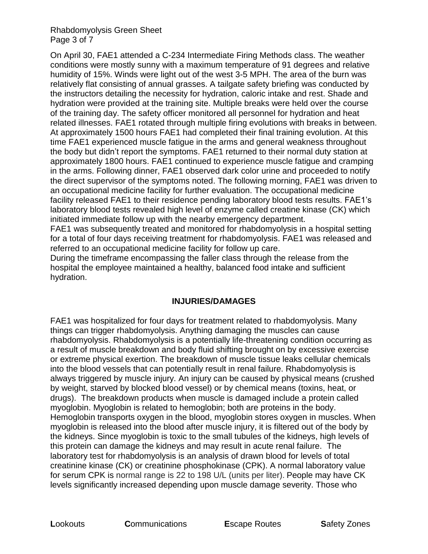#### Rhabdomyolysis Green Sheet Page 3 of 7

On April 30, FAE1 attended a C-234 Intermediate Firing Methods class. The weather conditions were mostly sunny with a maximum temperature of 91 degrees and relative humidity of 15%. Winds were light out of the west 3-5 MPH. The area of the burn was relatively flat consisting of annual grasses. A tailgate safety briefing was conducted by the instructors detailing the necessity for hydration, caloric intake and rest. Shade and hydration were provided at the training site. Multiple breaks were held over the course of the training day. The safety officer monitored all personnel for hydration and heat related illnesses. FAE1 rotated through multiple firing evolutions with breaks in between. At approximately 1500 hours FAE1 had completed their final training evolution. At this time FAE1 experienced muscle fatigue in the arms and general weakness throughout the body but didn't report the symptoms. FAE1 returned to their normal duty station at approximately 1800 hours. FAE1 continued to experience muscle fatigue and cramping in the arms. Following dinner, FAE1 observed dark color urine and proceeded to notify the direct supervisor of the symptoms noted. The following morning, FAE1 was driven to an occupational medicine facility for further evaluation. The occupational medicine facility released FAE1 to their residence pending laboratory blood tests results. FAE1's laboratory blood tests revealed high level of enzyme called creatine kinase (CK) which initiated immediate follow up with the nearby emergency department.

FAE1 was subsequently treated and monitored for rhabdomyolysis in a hospital setting for a total of four days receiving treatment for rhabdomyolysis. FAE1 was released and referred to an occupational medicine facility for follow up care.

During the timeframe encompassing the faller class through the release from the hospital the employee maintained a healthy, balanced food intake and sufficient hydration.

#### **INJURIES/DAMAGES**

FAE1 was hospitalized for four days for treatment related to rhabdomyolysis. Many things can trigger rhabdomyolysis. Anything damaging the muscles can cause rhabdomyolysis. Rhabdomyolysis is a potentially life-threatening condition occurring as a result of muscle breakdown and body fluid shifting brought on by excessive exercise or extreme physical exertion. The breakdown of muscle tissue leaks cellular chemicals into the blood vessels that can potentially result in renal failure. Rhabdomyolysis is always triggered by muscle injury. An injury can be caused by physical means (crushed by weight, starved by blocked blood vessel) or by chemical means (toxins, heat, or drugs). The breakdown products when muscle is damaged include a protein called myoglobin. Myoglobin is related to hemoglobin; both are proteins in the body. Hemoglobin transports oxygen in the blood, myoglobin stores oxygen in muscles. When myoglobin is released into the blood after muscle injury, it is filtered out of the body by the kidneys. Since myoglobin is toxic to the small tubules of the kidneys, high levels of this protein can damage the kidneys and may result in acute renal failure. The laboratory test for rhabdomyolysis is an analysis of drawn blood for levels of total creatinine kinase (CK) or creatinine phosphokinase (CPK). A normal laboratory value for serum CPK is normal range is 22 to 198 U/L (units per liter). People may have CK levels significantly increased depending upon muscle damage severity. Those who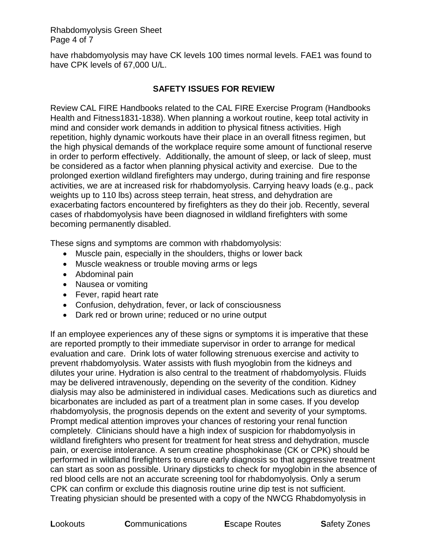Rhabdomyolysis Green Sheet Page 4 of 7

have rhabdomyolysis may have CK levels 100 times normal levels. FAE1 was found to have CPK levels of 67,000 U/L.

#### **SAFETY ISSUES FOR REVIEW**

Review CAL FIRE Handbooks related to the CAL FIRE Exercise Program (Handbooks Health and Fitness1831-1838). When planning a workout routine, keep total activity in mind and consider work demands in addition to physical fitness activities. High repetition, highly dynamic workouts have their place in an overall fitness regimen, but the high physical demands of the workplace require some amount of functional reserve in order to perform effectively. Additionally, the amount of sleep, or lack of sleep, must be considered as a factor when planning physical activity and exercise. Due to the prolonged exertion wildland firefighters may undergo, during training and fire response activities, we are at increased risk for rhabdomyolysis. Carrying heavy loads (e.g., pack weights up to 110 lbs) across steep terrain, heat stress, and dehydration are exacerbating factors encountered by firefighters as they do their job. Recently, several cases of rhabdomyolysis have been diagnosed in wildland firefighters with some becoming permanently disabled.

These signs and symptoms are common with rhabdomyolysis:

- Muscle pain, especially in the shoulders, thighs or lower back
- Muscle weakness or trouble moving arms or legs
- Abdominal pain
- Nausea or vomiting
- Fever, rapid heart rate
- Confusion, dehydration, fever, or lack of consciousness
- Dark red or brown urine; reduced or no urine output

If an employee experiences any of these signs or symptoms it is imperative that these are reported promptly to their immediate supervisor in order to arrange for medical evaluation and care. Drink lots of water following strenuous exercise and activity to prevent rhabdomyolysis. Water assists with flush myoglobin from the kidneys and dilutes your urine. Hydration is also central to the treatment of rhabdomyolysis. Fluids may be delivered intravenously, depending on the severity of the condition. Kidney dialysis may also be administered in individual cases. Medications such as diuretics and bicarbonates are included as part of a treatment plan in some cases. If you develop rhabdomyolysis, the prognosis depends on the extent and severity of your symptoms. Prompt medical attention improves your chances of restoring your renal function completely. Clinicians should have a high index of suspicion for rhabdomyolysis in wildland firefighters who present for treatment for heat stress and dehydration, muscle pain, or exercise intolerance. A serum creatine phosphokinase (CK or CPK) should be performed in wildland firefighters to ensure early diagnosis so that aggressive treatment can start as soon as possible. Urinary dipsticks to check for myoglobin in the absence of red blood cells are not an accurate screening tool for rhabdomyolysis. Only a serum CPK can confirm or exclude this diagnosis routine urine dip test is not sufficient. Treating physician should be presented with a copy of the NWCG Rhabdomyolysis in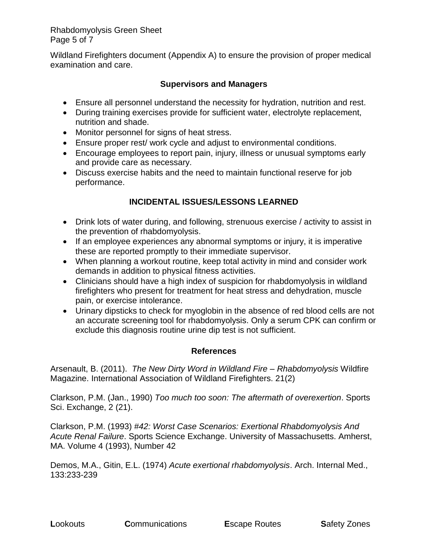#### Rhabdomyolysis Green Sheet Page 5 of 7

Wildland Firefighters document (Appendix A) to ensure the provision of proper medical examination and care.

#### **Supervisors and Managers**

- Ensure all personnel understand the necessity for hydration, nutrition and rest.
- During training exercises provide for sufficient water, electrolyte replacement, nutrition and shade.
- Monitor personnel for signs of heat stress.
- Ensure proper rest/ work cycle and adjust to environmental conditions.
- Encourage employees to report pain, injury, illness or unusual symptoms early and provide care as necessary.
- Discuss exercise habits and the need to maintain functional reserve for job performance.

# **INCIDENTAL ISSUES/LESSONS LEARNED**

- Drink lots of water during, and following, strenuous exercise / activity to assist in the prevention of rhabdomyolysis.
- If an employee experiences any abnormal symptoms or injury, it is imperative these are reported promptly to their immediate supervisor.
- When planning a workout routine, keep total activity in mind and consider work demands in addition to physical fitness activities.
- Clinicians should have a high index of suspicion for rhabdomyolysis in wildland firefighters who present for treatment for heat stress and dehydration, muscle pain, or exercise intolerance.
- Urinary dipsticks to check for myoglobin in the absence of red blood cells are not an accurate screening tool for rhabdomyolysis. Only a serum CPK can confirm or exclude this diagnosis routine urine dip test is not sufficient.

#### **References**

Arsenault, B. (2011). *The New Dirty Word in Wildland Fire – Rhabdomyolysis* Wildfire Magazine. International Association of Wildland Firefighters. 21(2)

Clarkson, P.M. (Jan., 1990) *Too much too soon: The aftermath of overexertion*. Sports Sci. Exchange, 2 (21).

Clarkson, P.M. (1993) *#42: Worst Case Scenarios: Exertional Rhabdomyolysis And Acute Renal Failure*. Sports Science Exchange. University of Massachusetts. Amherst, MA. Volume 4 (1993), Number 42

Demos, M.A., Gitin, E.L. (1974) *Acute exertional rhabdomyolysis*. Arch. Internal Med., 133:233-239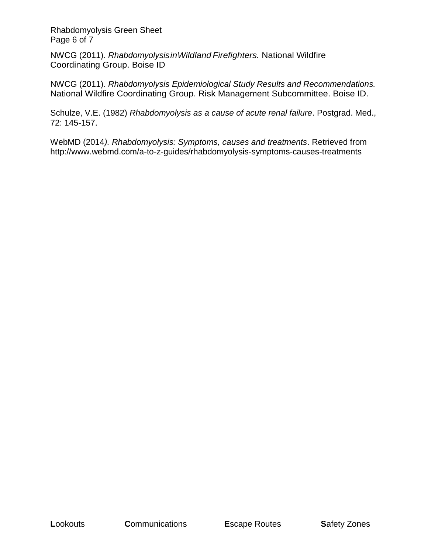Rhabdomyolysis Green Sheet Page 6 of 7

NWCG (2011). *RhabdomyolysisinWildland Firefighters.* National Wildfire Coordinating Group. Boise ID

NWCG (2011). *Rhabdomyolysis Epidemiological Study Results and Recommendations.*  National Wildfire Coordinating Group. Risk Management Subcommittee. Boise ID.

Schulze, V.E. (1982) *Rhabdomyolysis as a cause of acute renal failure*. Postgrad. Med., 72: 145-157.

WebMD (2014*). Rhabdomyolysis: Symptoms, causes and treatments*. Retrieved from http://www.webmd.com/a-to-z-guides/rhabdomyolysis-symptoms-causes-treatments